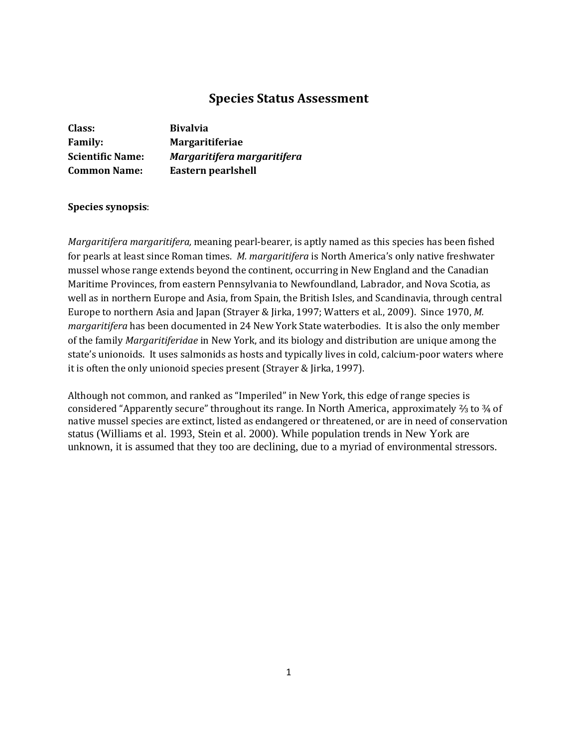# **Species Status Assessment**

| Class:                  | <b>Bivalvia</b>             |
|-------------------------|-----------------------------|
| <b>Family:</b>          | <b>Margaritiferiae</b>      |
| <b>Scientific Name:</b> | Margaritifera margaritifera |
| <b>Common Name:</b>     | Eastern pearlshell          |

## **Species synopsis**:

*Margaritifera margaritifera,* meaning pearl-bearer, is aptly named as this species has been fished for pearls at least since Roman times. *M. margaritifera* is North America's only native freshwater mussel whose range extends beyond the continent, occurring in New England and the Canadian Maritime Provinces, from eastern Pennsylvania to Newfoundland, Labrador, and Nova Scotia, as well as in northern Europe and Asia, from Spain, the British Isles, and Scandinavia, through central Europe to northern Asia and Japan (Strayer & Jirka, 1997; Watters et al., 2009). Since 1970, *M. margaritifera* has been documented in 24 New York State waterbodies. It is also the only member of the family *Margaritiferidae* in New York, and its biology and distribution are unique among the state's unionoids. It uses salmonids as hosts and typically lives in cold, calcium-poor waters where it is often the only unionoid species present (Strayer & Jirka, 1997).

Although not common, and ranked as "Imperiled" in New York, this edge of range species is considered "Apparently secure" throughout its range. In North America, approximately ⅔ to ¾ of native mussel species are extinct, listed as endangered or threatened, or are in need of conservation status (Williams et al. 1993, Stein et al. 2000). While population trends in New York are unknown, it is assumed that they too are declining, due to a myriad of environmental stressors.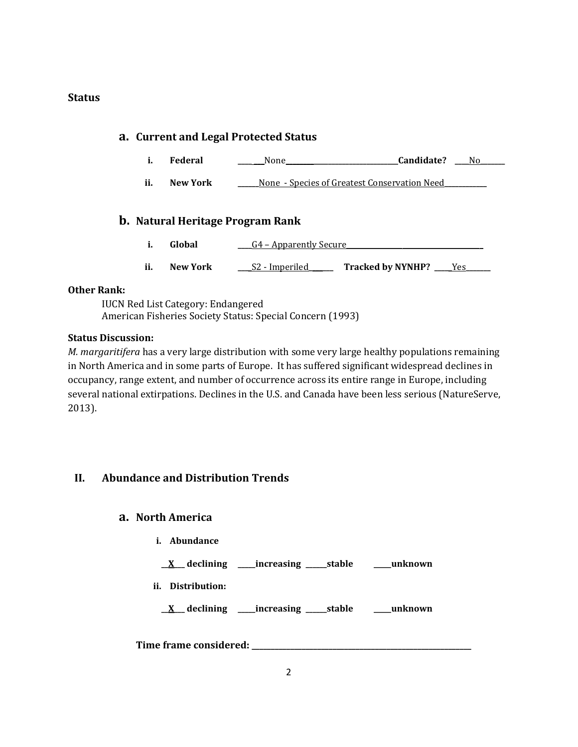## **Status**

# **a. Current and Legal Protected Status**

- **i. Federal \_\_\_\_ \_\_\_**None**\_\_\_\_\_\_\_\_\_\_\_\_\_\_\_\_\_\_\_\_\_\_\_\_\_\_\_\_\_\_\_\_Candidate? \_\_\_\_**No**\_\_\_\_\_\_\_**
- **ii. New York \_\_\_\_\_\_**None Species of Greatest Conservation Need**\_\_\_\_\_\_\_\_\_\_\_\_**

# **b. Natural Heritage Program Rank**

- **i. Global**  $\underline{\hspace{1cm}}$   $G4$  Apparently Secure
- **ii. New York \_\_\_**\_S2 Imperiled**\_\_\_\_\_\_\_ Tracked by NYNHP? \_\_\_\_**\_Yes**\_\_\_\_\_\_\_**

## **Other Rank:**

IUCN Red List Category: Endangered American Fisheries Society Status: Special Concern (1993)

## **Status Discussion:**

*M. margaritifera* has a very large distribution with some very large healthy populations remaining in North America and in some parts of Europe. It has suffered significant widespread declines in occupancy, range extent, and number of occurrence across its entire range in Europe, including several national extirpations. Declines in the U.S. and Canada have been less serious (NatureServe, 2013).

# **II. Abundance and Distribution Trends**

## **a. North America**

- **i. Abundance**
- **\_\_X\_\_\_ declining \_\_\_\_\_increasing \_\_\_\_\_\_stable \_\_\_\_\_unknown**
- **ii. Distribution:**

**\_\_X\_\_\_ declining \_\_\_\_\_increasing \_\_\_\_\_\_stable \_\_\_\_\_unknown**

**Time frame considered: \_\_\_\_\_\_\_\_\_\_\_\_\_\_\_\_\_\_\_\_\_\_\_\_\_\_\_\_\_\_\_\_\_\_\_\_\_\_\_\_\_\_\_\_\_\_\_\_\_\_\_\_\_\_\_\_\_**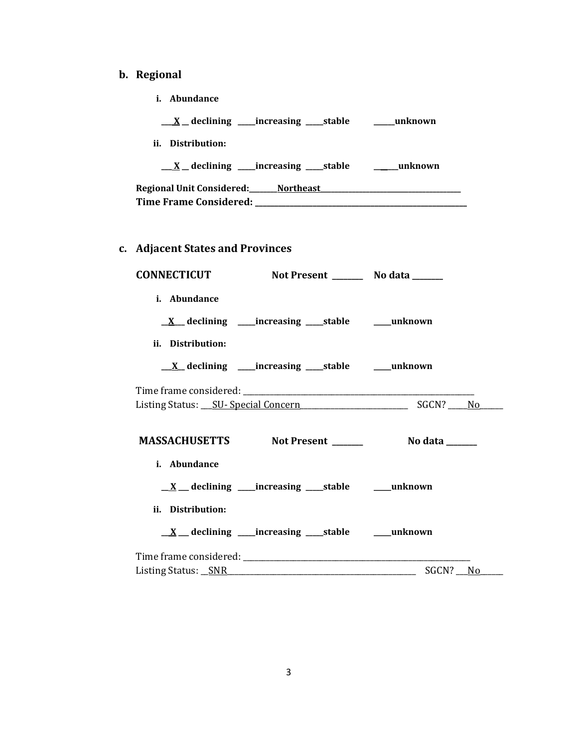# **b. Regional**

**i. Abundance**

| $\underline{X}$ declining ____increasing _____stable                  | <b>unknown</b> |
|-----------------------------------------------------------------------|----------------|
| ii. Distribution:                                                     |                |
| $\underline{X}$ declining ____increasing _____stable                  | unknown        |
| Regional Unit Considered: Northeast<br>Time Frame Considered: _______ |                |
|                                                                       |                |

# **c. Adjacent States and Provinces**

|                   | <b>CONNECTICUT</b><br>Not Present _________ No data _______               |                                                 |  |
|-------------------|---------------------------------------------------------------------------|-------------------------------------------------|--|
| i. Abundance      |                                                                           |                                                 |  |
|                   | $\underline{X}$ declining _____increasing ______stable ___________unknown |                                                 |  |
| ii. Distribution: |                                                                           |                                                 |  |
|                   | <u>X</u> declining ____increasing ____stable _____unknown                 |                                                 |  |
|                   |                                                                           |                                                 |  |
|                   |                                                                           |                                                 |  |
|                   |                                                                           |                                                 |  |
| i. Abundance      |                                                                           |                                                 |  |
|                   | $\underline{X}$ declining increasing stable $\underline{X}$ unknown       |                                                 |  |
| ii. Distribution: |                                                                           |                                                 |  |
|                   | $\underline{X}$ declining increasing stable $\underline{X}$ unknown       |                                                 |  |
|                   |                                                                           |                                                 |  |
|                   |                                                                           | Listing Status: <u>SNR</u> Status: SNR SGCN? No |  |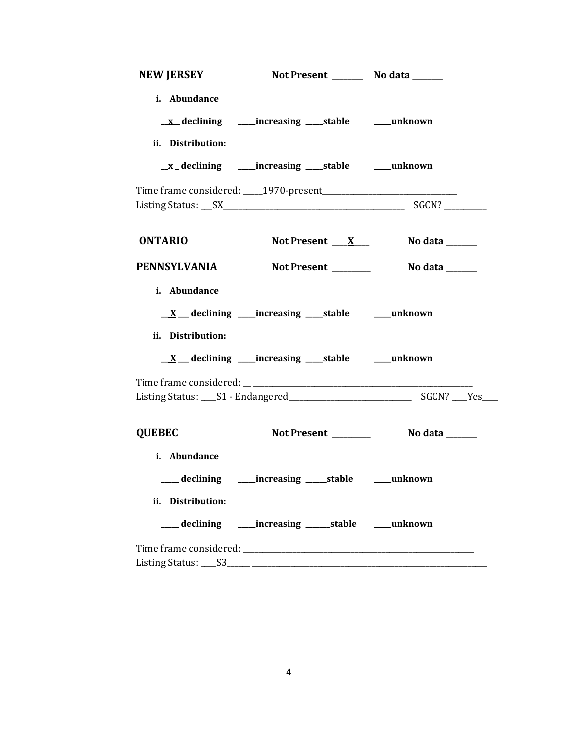| <b>NEW JERSEY</b>                 | Not Present __________ No data _______                              |                |
|-----------------------------------|---------------------------------------------------------------------|----------------|
| i. Abundance                      | <u>x</u> declining _____increasing _____stable _______unknown       |                |
| ii. Distribution:                 |                                                                     |                |
|                                   | <u>x</u> declining _____increasing _____stable _______unknown       |                |
|                                   | Time frame considered: 1970-present                                 |                |
|                                   |                                                                     |                |
| <b>ONTARIO</b>                    | Not Present $X_{-}$                                                 | No data ______ |
|                                   | PENNSYLVANIA Not Present                                            | No data ______ |
| i. Abundance<br>ii. Distribution: | $\underline{X}$ declining increasing stable $\underline{X}$ unknown |                |
|                                   | $\underline{X}$ declining increasing stable in unknown              |                |
|                                   |                                                                     |                |
| <b>QUEBEC</b>                     |                                                                     |                |
| i. Abundance                      | ___ declining _____ increasing _____ stable _____ unknown           |                |
| ii. Distribution:                 | declining _____increasing _______stable _____unknown                |                |
|                                   |                                                                     |                |
|                                   |                                                                     |                |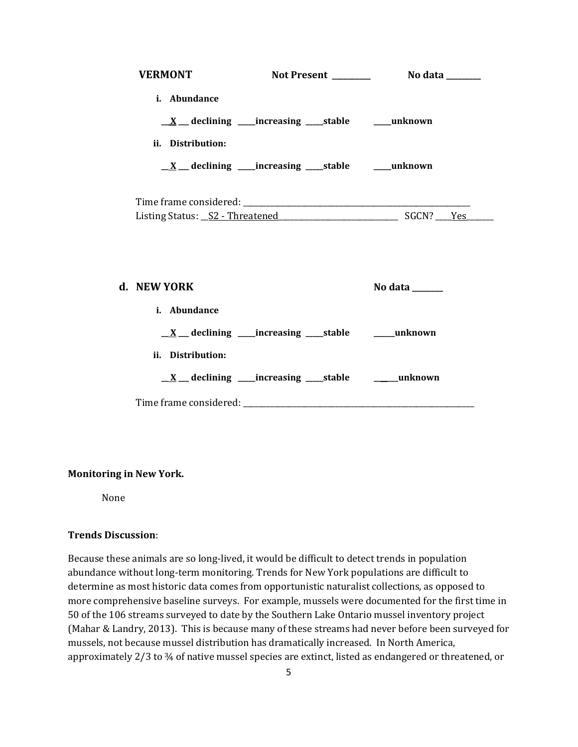| <b>VERMONT</b><br><b>Not Present</b> |                                                                     | No data _______ |  |
|--------------------------------------|---------------------------------------------------------------------|-----------------|--|
| <i>i.</i> Abundance                  |                                                                     |                 |  |
|                                      | $\underline{X}$ declining increasing stable in unknown              |                 |  |
| ii. Distribution:                    |                                                                     |                 |  |
|                                      | $\underline{X}$ declining increasing stable $\underline{X}$ unknown |                 |  |
|                                      |                                                                     | SGCN? Yes       |  |
|                                      |                                                                     |                 |  |
|                                      |                                                                     |                 |  |

| d. NEW YORK                                                         | No data ______ |
|---------------------------------------------------------------------|----------------|
| i. Abundance                                                        |                |
| $\underline{X}$ declining increasing stable in unknown              |                |
| ii. Distribution:                                                   |                |
| $\underline{X}$ declining increasing stable $\underline{X}$ unknown |                |
| Time frame considered:                                              |                |

## **Monitoring in New York.**

None

## **Trends Discussion**:

Because these animals are so long-lived, it would be difficult to detect trends in population abundance without long-term monitoring. Trends for New York populations are difficult to determine as most historic data comes from opportunistic naturalist collections, as opposed to more comprehensive baseline surveys. For example, mussels were documented for the first time in 50 of the 106 streams surveyed to date by the Southern Lake Ontario mussel inventory project (Mahar & Landry, 2013). This is because many of these streams had never before been surveyed for mussels, not because mussel distribution has dramatically increased. In North America, approximately 2/3 to ¾ of native mussel species are extinct, listed as endangered or threatened, or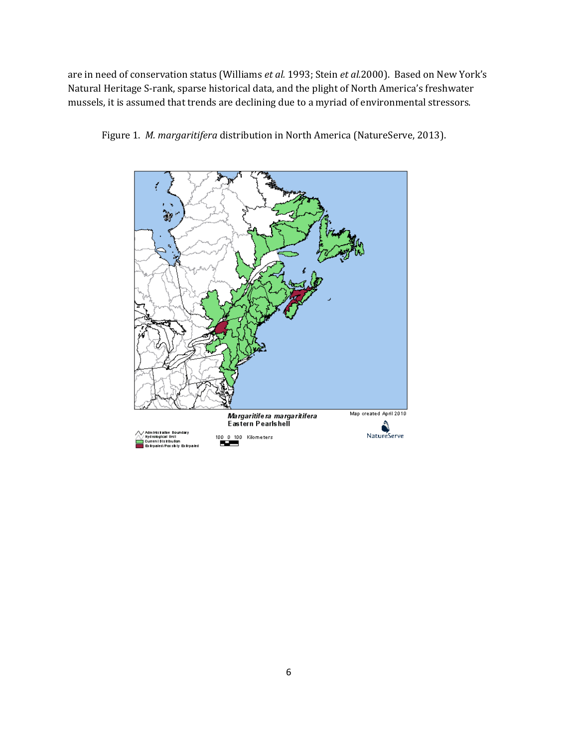are in need of conservation status (Williams *et al.* 1993; Stein *et al.*2000). Based on New York's Natural Heritage S-rank, sparse historical data, and the plight of North America's freshwater mussels, it is assumed that trends are declining due to a myriad of environmental stressors.



Figure 1. *M. margaritifera* distribution in North America (NatureServe, 2013).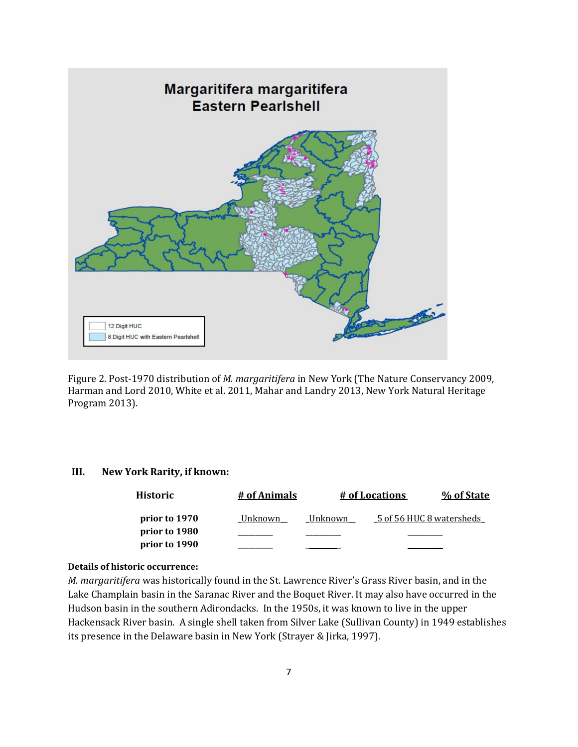

Figure 2. Post-1970 distribution of *M. margaritifera* in New York (The Nature Conservancy 2009, Harman and Lord 2010, White et al. 2011, Mahar and Landry 2013, New York Natural Heritage Program 2013).

## **III. New York Rarity, if known:**

| <b>Historic</b> | # of Animals |         | # of Locations           | % of State |
|-----------------|--------------|---------|--------------------------|------------|
| prior to 1970   | Unknown      | Unknown | 5 of 56 HUC 8 watersheds |            |
| prior to 1980   |              |         |                          |            |
| prior to 1990   |              |         |                          |            |

## **Details of historic occurrence:**

*M. margaritifera* was historically found in the St. Lawrence River's Grass River basin, and in the Lake Champlain basin in the Saranac River and the Boquet River. It may also have occurred in the Hudson basin in the southern Adirondacks. In the 1950s, it was known to live in the upper Hackensack River basin. A single shell taken from Silver Lake (Sullivan County) in 1949 establishes its presence in the Delaware basin in New York (Strayer & Jirka, 1997).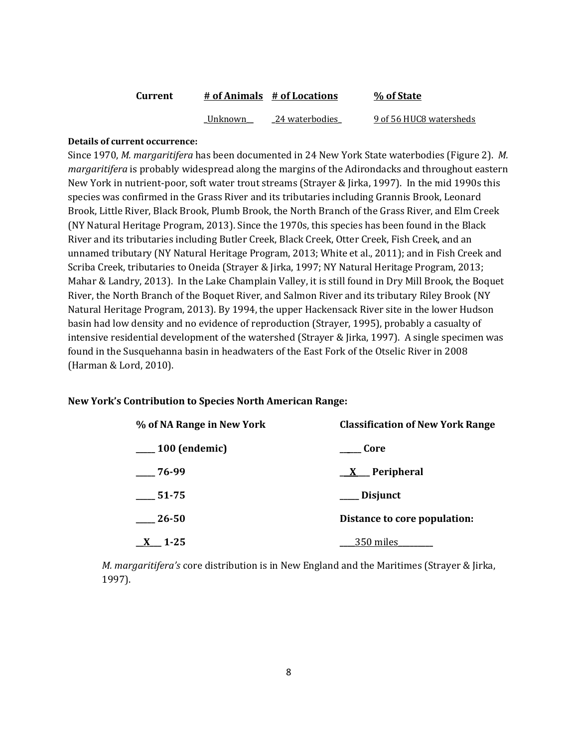| Current | # of Animals # of Locations |                | % of State              |  |
|---------|-----------------------------|----------------|-------------------------|--|
|         | Unknown                     | 24 waterbodies | 9 of 56 HUC8 watersheds |  |

#### **Details of current occurrence:**

Since 1970, *M. margaritifera* has been documented in 24 New York State waterbodies (Figure 2). *M. margaritifera* is probably widespread along the margins of the Adirondacks and throughout eastern New York in nutrient-poor, soft water trout streams (Strayer & Jirka, 1997). In the mid 1990s this species was confirmed in the Grass River and its tributaries including Grannis Brook, Leonard Brook, Little River, Black Brook, Plumb Brook, the North Branch of the Grass River, and Elm Creek (NY Natural Heritage Program, 2013). Since the 1970s, this species has been found in the Black River and its tributaries including Butler Creek, Black Creek, Otter Creek, Fish Creek, and an unnamed tributary (NY Natural Heritage Program, 2013; White et al., 2011); and in Fish Creek and Scriba Creek, tributaries to Oneida (Strayer & Jirka, 1997; NY Natural Heritage Program, 2013; Mahar & Landry, 2013). In the Lake Champlain Valley, it is still found in Dry Mill Brook, the Boquet River, the North Branch of the Boquet River, and Salmon River and its tributary Riley Brook (NY Natural Heritage Program, 2013). By 1994, the upper Hackensack River site in the lower Hudson basin had low density and no evidence of reproduction (Strayer, 1995), probably a casualty of intensive residential development of the watershed (Strayer & Jirka, 1997). A single specimen was found in the Susquehanna basin in headwaters of the East Fork of the Otselic River in 2008 (Harman & Lord, 2010).

#### **New York's Contribution to Species North American Range:**

| % of NA Range in New York | <b>Classification of New York Range</b> |  |  |
|---------------------------|-----------------------------------------|--|--|
| $\mu$ 100 (endemic)       | Core                                    |  |  |
| 76-99                     | $X$ Peripheral                          |  |  |
| 51-75                     | ___ Disjunct                            |  |  |
| $\frac{26-50}{2}$         | Distance to core population:            |  |  |
| 1-25                      | 350 miles                               |  |  |

*M. margaritifera's* core distribution is in New England and the Maritimes (Strayer & Jirka, 1997).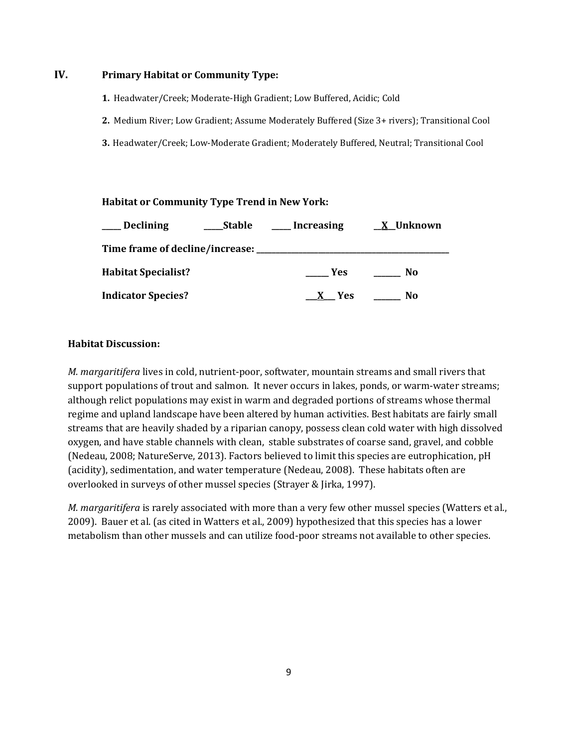## **IV. Primary Habitat or Community Type:**

- **1.** Headwater/Creek; Moderate-High Gradient; Low Buffered, Acidic; Cold
- **2.** Medium River; Low Gradient; Assume Moderately Buffered (Size 3+ rivers); Transitional Cool
- **3.** Headwater/Creek; Low-Moderate Gradient; Moderately Buffered, Neutral; Transitional Cool

## **Habitat or Community Type Trend in New York:**

| <b>Declining</b>                      | Stable | <b>Increasing</b> | X Unknown |
|---------------------------------------|--------|-------------------|-----------|
| Time frame of decline/increase: _____ |        |                   |           |
| <b>Habitat Specialist?</b>            |        | <b>Yes</b>        | No        |
| <b>Indicator Species?</b>             |        | <b>Yes</b>        | No.       |

## **Habitat Discussion:**

*M. margaritifera* lives in cold, nutrient-poor, softwater, mountain streams and small rivers that support populations of trout and salmon. It never occurs in lakes, ponds, or warm-water streams; although relict populations may exist in warm and degraded portions of streams whose thermal regime and upland landscape have been altered by human activities. Best habitats are fairly small streams that are heavily shaded by a riparian canopy, possess clean cold water with high dissolved oxygen, and have stable channels with clean, stable substrates of coarse sand, gravel, and cobble (Nedeau, 2008; NatureServe, 2013). Factors believed to limit this species are eutrophication, pH (acidity), sedimentation, and water temperature (Nedeau, 2008). These habitats often are overlooked in surveys of other mussel species (Strayer & Jirka, 1997).

*M. margaritifera* is rarely associated with more than a very few other mussel species (Watters et al., 2009). Bauer et al. (as cited in Watters et al., 2009) hypothesized that this species has a lower metabolism than other mussels and can utilize food-poor streams not available to other species.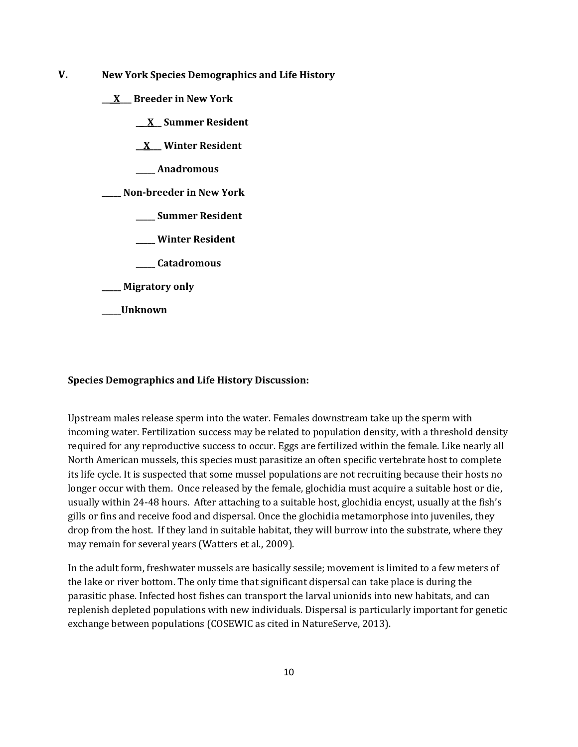- **V. New York Species Demographics and Life History**
	- **\_\_\_X\_\_\_ Breeder in New York**
		- **\_\_\_X\_\_ Summer Resident**

**\_\_X\_\_\_ Winter Resident**

**\_\_\_\_\_ Anadromous**

**\_\_\_\_\_ Non-breeder in New York**

- **\_\_\_\_\_ Summer Resident**
- **\_\_\_\_\_ Winter Resident**
- **\_\_\_\_\_ Catadromous**

**\_\_\_\_\_ Migratory only**

**\_\_\_\_\_Unknown**

#### **Species Demographics and Life History Discussion:**

Upstream males release sperm into the water. Females downstream take up the sperm with incoming water. Fertilization success may be related to population density, with a threshold density required for any reproductive success to occur. Eggs are fertilized within the female. Like nearly all North American mussels, this species must parasitize an often specific vertebrate host to complete its life cycle. It is suspected that some mussel populations are not recruiting because their hosts no longer occur with them. Once released by the female, glochidia must acquire a suitable host or die, usually within 24-48 hours. After attaching to a suitable host, glochidia encyst, usually at the fish's gills or fins and receive food and dispersal. Once the glochidia metamorphose into juveniles, they drop from the host. If they land in suitable habitat, they will burrow into the substrate, where they may remain for several years (Watters et al., 2009).

In the adult form, freshwater mussels are basically sessile; movement is limited to a few meters of the lake or river bottom. The only time that significant dispersal can take place is during the parasitic phase. Infected host fishes can transport the larval unionids into new habitats, and can replenish depleted populations with new individuals. Dispersal is particularly important for genetic exchange between populations (COSEWIC as cited in NatureServe, 2013).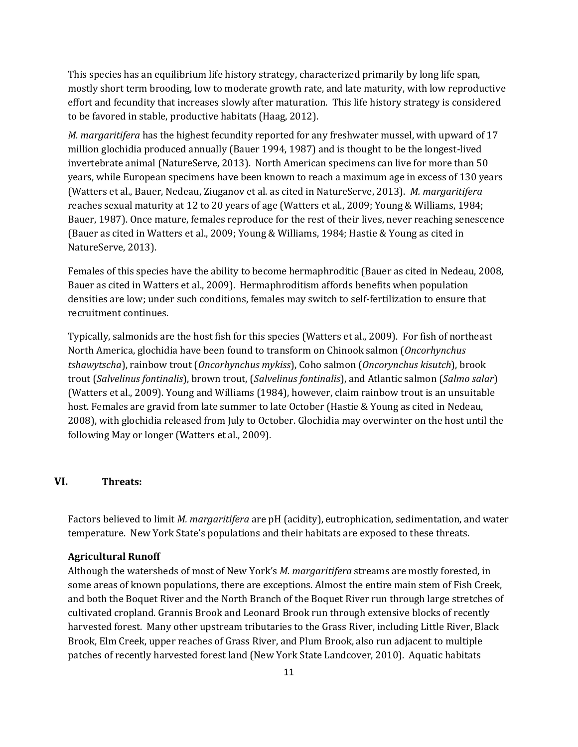This species has an equilibrium life history strategy, characterized primarily by long life span, mostly short term brooding, low to moderate growth rate, and late maturity, with low reproductive effort and fecundity that increases slowly after maturation. This life history strategy is considered to be favored in stable, productive habitats (Haag, 2012).

*M. margaritifera* has the highest fecundity reported for any freshwater mussel, with upward of 17 million glochidia produced annually (Bauer 1994, 1987) and is thought to be the longest-lived invertebrate animal (NatureServe, 2013). North American specimens can live for more than 50 years, while European specimens have been known to reach a maximum age in excess of 130 years (Watters et al., Bauer, Nedeau, Ziuganov et al. as cited in NatureServe, 2013). *M. margaritifera* reaches sexual maturity at 12 to 20 years of age (Watters et al., 2009; Young & Williams, 1984; Bauer, 1987). Once mature, females reproduce for the rest of their lives, never reaching senescence (Bauer as cited in Watters et al., 2009; Young & Williams, 1984; Hastie & Young as cited in NatureServe, 2013).

Females of this species have the ability to become hermaphroditic (Bauer as cited in Nedeau, 2008, Bauer as cited in Watters et al., 2009). Hermaphroditism affords benefits when population densities are low; under such conditions, females may switch to self-fertilization to ensure that recruitment continues.

Typically, salmonids are the host fish for this species (Watters et al., 2009). For fish of northeast North America, glochidia have been found to transform on Chinook salmon (*Oncorhynchus tshawytscha*), rainbow trout (*Oncorhynchus mykiss*), Coho salmon (*Oncorynchus kisutch*), brook trout (*Salvelinus fontinalis*), brown trout, (*Salvelinus fontinalis*), and Atlantic salmon (*Salmo salar*) (Watters et al., 2009). Young and Williams (1984), however, claim rainbow trout is an unsuitable host. Females are gravid from late summer to late October (Hastie & Young as cited in Nedeau, 2008), with glochidia released from July to October. Glochidia may overwinter on the host until the following May or longer (Watters et al., 2009).

## **VI. Threats:**

Factors believed to limit *M. margaritifera* are pH (acidity), eutrophication, sedimentation, and water temperature. New York State's populations and their habitats are exposed to these threats.

#### **Agricultural Runoff**

Although the watersheds of most of New York's *M. margaritifera* streams are mostly forested, in some areas of known populations, there are exceptions. Almost the entire main stem of Fish Creek, and both the Boquet River and the North Branch of the Boquet River run through large stretches of cultivated cropland. Grannis Brook and Leonard Brook run through extensive blocks of recently harvested forest. Many other upstream tributaries to the Grass River, including Little River, Black Brook, Elm Creek, upper reaches of Grass River, and Plum Brook, also run adjacent to multiple patches of recently harvested forest land (New York State Landcover, 2010). Aquatic habitats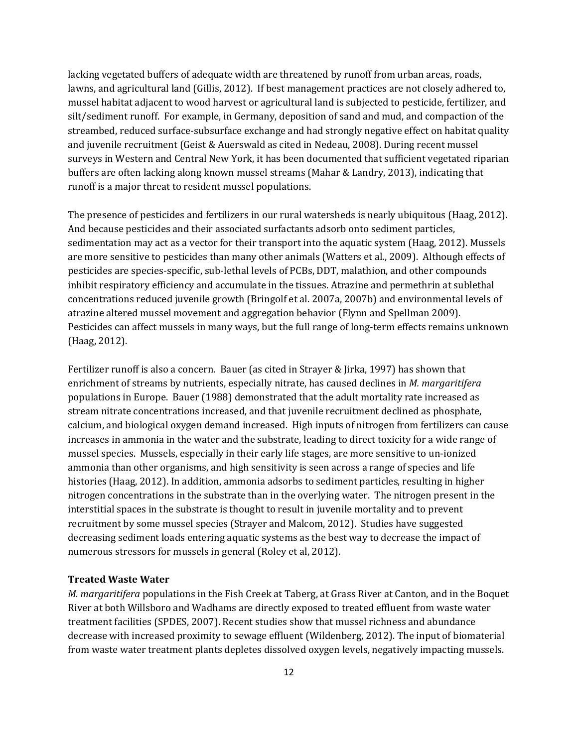lacking vegetated buffers of adequate width are threatened by runoff from urban areas, roads, lawns, and agricultural land (Gillis, 2012). If best management practices are not closely adhered to, mussel habitat adjacent to wood harvest or agricultural land is subjected to pesticide, fertilizer, and silt/sediment runoff. For example, in Germany, deposition of sand and mud, and compaction of the streambed, reduced surface-subsurface exchange and had strongly negative effect on habitat quality and juvenile recruitment (Geist & Auerswald as cited in Nedeau, 2008). During recent mussel surveys in Western and Central New York, it has been documented that sufficient vegetated riparian buffers are often lacking along known mussel streams (Mahar & Landry, 2013), indicating that runoff is a major threat to resident mussel populations.

The presence of pesticides and fertilizers in our rural watersheds is nearly ubiquitous (Haag, 2012). And because pesticides and their associated surfactants adsorb onto sediment particles, sedimentation may act as a vector for their transport into the aquatic system (Haag, 2012). Mussels are more sensitive to pesticides than many other animals (Watters et al., 2009). Although effects of pesticides are species-specific, sub-lethal levels of PCBs, DDT, malathion, and other compounds inhibit respiratory efficiency and accumulate in the tissues. Atrazine and permethrin at sublethal concentrations reduced juvenile growth (Bringolf et al. 2007a, 2007b) and environmental levels of atrazine altered mussel movement and aggregation behavior (Flynn and Spellman 2009). Pesticides can affect mussels in many ways, but the full range of long-term effects remains unknown (Haag, 2012).

Fertilizer runoff is also a concern. Bauer (as cited in Strayer & Jirka, 1997) has shown that enrichment of streams by nutrients, especially nitrate, has caused declines in *M. margaritifera* populations in Europe. Bauer (1988) demonstrated that the adult mortality rate increased as stream nitrate concentrations increased, and that juvenile recruitment declined as phosphate, calcium, and biological oxygen demand increased. High inputs of nitrogen from fertilizers can cause increases in ammonia in the water and the substrate, leading to direct toxicity for a wide range of mussel species. Mussels, especially in their early life stages, are more sensitive to un-ionized ammonia than other organisms, and high sensitivity is seen across a range of species and life histories (Haag, 2012). In addition, ammonia adsorbs to sediment particles, resulting in higher nitrogen concentrations in the substrate than in the overlying water. The nitrogen present in the interstitial spaces in the substrate is thought to result in juvenile mortality and to prevent recruitment by some mussel species (Strayer and Malcom, 2012). Studies have suggested decreasing sediment loads entering aquatic systems as the best way to decrease the impact of numerous stressors for mussels in general (Roley et al, 2012).

#### **Treated Waste Water**

*M. margaritifera* populations in the Fish Creek at Taberg, at Grass River at Canton, and in the Boquet River at both Willsboro and Wadhams are directly exposed to treated effluent from waste water treatment facilities (SPDES, 2007). Recent studies show that mussel richness and abundance decrease with increased proximity to sewage effluent (Wildenberg, 2012). The input of biomaterial from waste water treatment plants depletes dissolved oxygen levels, negatively impacting mussels.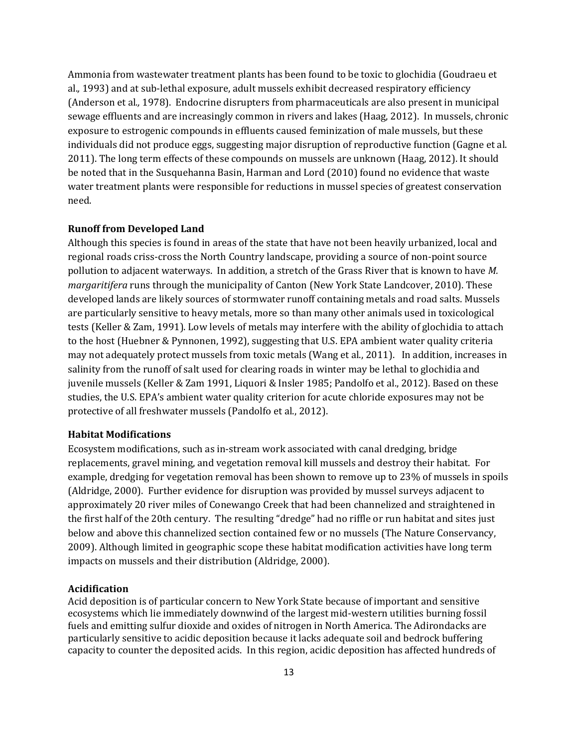Ammonia from wastewater treatment plants has been found to be toxic to glochidia (Goudraeu et al.*,* 1993) and at sub-lethal exposure, adult mussels exhibit decreased respiratory efficiency (Anderson et al*.,* 1978). Endocrine disrupters from pharmaceuticals are also present in municipal sewage effluents and are increasingly common in rivers and lakes (Haag, 2012). In mussels, chronic exposure to estrogenic compounds in effluents caused feminization of male mussels, but these individuals did not produce eggs, suggesting major disruption of reproductive function (Gagne et al. 2011). The long term effects of these compounds on mussels are unknown (Haag, 2012). It should be noted that in the Susquehanna Basin, Harman and Lord (2010) found no evidence that waste water treatment plants were responsible for reductions in mussel species of greatest conservation need.

#### **Runoff from Developed Land**

Although this species is found in areas of the state that have not been heavily urbanized, local and regional roads criss-cross the North Country landscape, providing a source of non-point source pollution to adjacent waterways. In addition, a stretch of the Grass River that is known to have *M. margaritifera* runs through the municipality of Canton (New York State Landcover, 2010). These developed lands are likely sources of stormwater runoff containing metals and road salts. Mussels are particularly sensitive to heavy metals, more so than many other animals used in toxicological tests (Keller & Zam, 1991). Low levels of metals may interfere with the ability of glochidia to attach to the host (Huebner & Pynnonen, 1992), suggesting that U.S. EPA ambient water quality criteria may not adequately protect mussels from toxic metals (Wang et al., 2011). In addition, increases in salinity from the runoff of salt used for clearing roads in winter may be lethal to glochidia and juvenile mussels (Keller & Zam 1991, Liquori & Insler 1985; Pandolfo et al., 2012). Based on these studies, the U.S. EPA's ambient water quality criterion for acute chloride exposures may not be protective of all freshwater mussels (Pandolfo et al., 2012).

#### **Habitat Modifications**

Ecosystem modifications, such as in-stream work associated with canal dredging, bridge replacements, gravel mining, and vegetation removal kill mussels and destroy their habitat. For example, dredging for vegetation removal has been shown to remove up to 23% of mussels in spoils (Aldridge, 2000). Further evidence for disruption was provided by mussel surveys adjacent to approximately 20 river miles of Conewango Creek that had been channelized and straightened in the first half of the 20th century. The resulting "dredge" had no riffle or run habitat and sites just below and above this channelized section contained few or no mussels (The Nature Conservancy, 2009). Although limited in geographic scope these habitat modification activities have long term impacts on mussels and their distribution (Aldridge, 2000).

#### **Acidification**

Acid deposition is of particular concern to New York State because of important and sensitive ecosystems which lie immediately downwind of the largest mid-western utilities burning fossil fuels and emitting sulfur dioxide and oxides of nitrogen in North America. The Adirondacks are particularly sensitive to acidic deposition because it lacks adequate soil and bedrock buffering capacity to counter the deposited acids. In this region, acidic deposition has affected hundreds of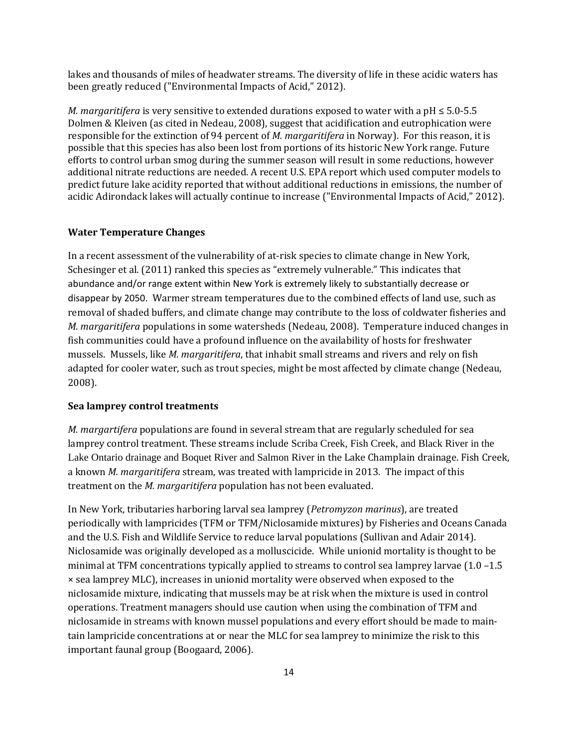lakes and thousands of miles of headwater streams. The diversity of life in these acidic waters has been greatly reduced ("Environmental Impacts of Acid," 2012).

*M. margaritifera* is very sensitive to extended durations exposed to water with a pH ≤ 5.0-5.5 Dolmen & Kleiven (as cited in Nedeau, 2008), suggest that acidification and eutrophication were responsible for the extinction of 94 percent of *M. margaritifera* in Norway). For this reason, it is possible that this species has also been lost from portions of its historic New York range. Future efforts to control urban smog during the summer season will result in some reductions, however additional nitrate reductions are needed. A recent U.S. EPA report which used computer models to predict future lake acidity reported that without additional reductions in emissions, the number of acidic Adirondack lakes will actually continue to increase ("Environmental Impacts of Acid," 2012).

#### **Water Temperature Changes**

In a recent assessment of the vulnerability of at-risk species to climate change in New York, Schesinger et al. (2011) ranked this species as "extremely vulnerable." This indicates that abundance and/or range extent within New York is extremely likely to substantially decrease or disappear by 2050. Warmer stream temperatures due to the combined effects of land use, such as removal of shaded buffers, and climate change may contribute to the loss of coldwater fisheries and *M. margaritifera* populations in some watersheds (Nedeau, 2008). Temperature induced changes in fish communities could have a profound influence on the availability of hosts for freshwater mussels. Mussels, like *M. margaritifera*, that inhabit small streams and rivers and rely on fish adapted for cooler water, such as trout species, might be most affected by climate change (Nedeau, 2008).

#### **Sea lamprey control treatments**

*M. margartifera* populations are found in several stream that are regularly scheduled for sea lamprey control treatment. These streams include Scriba Creek, Fish Creek, and Black River in the Lake Ontario drainage and Boquet River and Salmon River in the Lake Champlain drainage. Fish Creek, a known *M. margaritifera* stream, was treated with lampricide in 2013. The impact of this treatment on the *M. margaritifera* population has not been evaluated.

In New York, tributaries harboring larval sea lamprey (*Petromyzon marinus*), are treated periodically with lampricides (TFM or TFM/Niclosamide mixtures) by Fisheries and Oceans Canada and the U.S. Fish and Wildlife Service to reduce larval populations (Sullivan and Adair 2014). Niclosamide was originally developed as a molluscicide. While unionid mortality is thought to be minimal at TFM concentrations typically applied to streams to control sea lamprey larvae (1.0 –1.5 × sea lamprey MLC), increases in unionid mortality were observed when exposed to the niclosamide mixture, indicating that mussels may be at risk when the mixture is used in control operations. Treatment managers should use caution when using the combination of TFM and niclosamide in streams with known mussel populations and every effort should be made to maintain lampricide concentrations at or near the MLC for sea lamprey to minimize the risk to this important faunal group (Boogaard, 2006).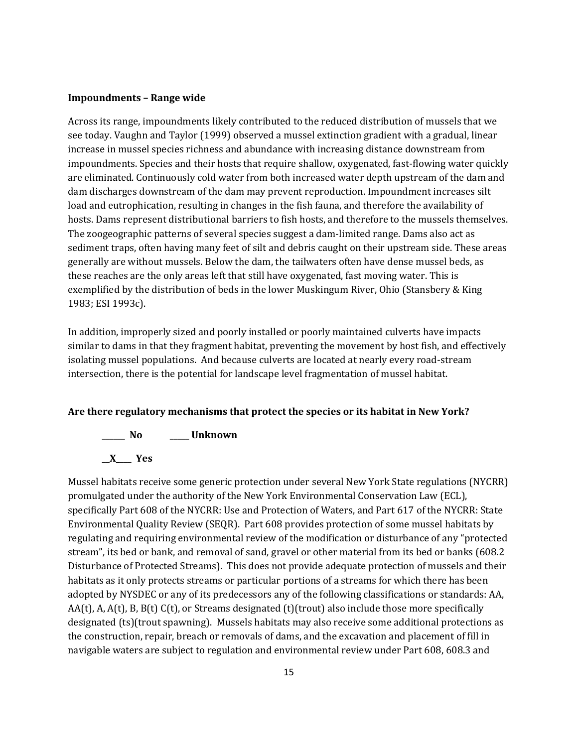#### **Impoundments – Range wide**

Across its range, impoundments likely contributed to the reduced distribution of mussels that we see today. Vaughn and Taylor (1999) observed a mussel extinction gradient with a gradual, linear increase in mussel species richness and abundance with increasing distance downstream from impoundments. Species and their hosts that require shallow, oxygenated, fast-flowing water quickly are eliminated. Continuously cold water from both increased water depth upstream of the dam and dam discharges downstream of the dam may prevent reproduction. Impoundment increases silt load and eutrophication, resulting in changes in the fish fauna, and therefore the availability of hosts. Dams represent distributional barriers to fish hosts, and therefore to the mussels themselves. The zoogeographic patterns of several species suggest a dam-limited range. Dams also act as sediment traps, often having many feet of silt and debris caught on their upstream side. These areas generally are without mussels. Below the dam, the tailwaters often have dense mussel beds, as these reaches are the only areas left that still have oxygenated, fast moving water. This is exemplified by the distribution of beds in the lower Muskingum River, Ohio (Stansbery & King 1983; ESI 1993c).

In addition, improperly sized and poorly installed or poorly maintained culverts have impacts similar to dams in that they fragment habitat, preventing the movement by host fish, and effectively isolating mussel populations. And because culverts are located at nearly every road-stream intersection, there is the potential for landscape level fragmentation of mussel habitat.

#### **Are there regulatory mechanisms that protect the species or its habitat in New York?**

**\_\_\_\_\_\_ No \_\_\_\_\_ Unknown \_\_X\_\_\_\_ Yes** 

Mussel habitats receive some generic protection under several New York State regulations (NYCRR) promulgated under the authority of the New York Environmental Conservation Law (ECL), specifically Part 608 of the NYCRR: Use and Protection of Waters, and Part 617 of the NYCRR: State Environmental Quality Review (SEQR). Part 608 provides protection of some mussel habitats by regulating and requiring environmental review of the modification or disturbance of any "protected stream", its bed or bank, and removal of sand, gravel or other material from its bed or banks (608.2 Disturbance of Protected Streams). This does not provide adequate protection of mussels and their habitats as it only protects streams or particular portions of a streams for which there has been adopted by NYSDEC or any of its predecessors any of the following classifications or standards: AA, AA(t), A, A(t), B, B(t) C(t), or Streams designated (t)(trout) also include those more specifically designated (ts)(trout spawning). Mussels habitats may also receive some additional protections as the construction, repair, breach or removals of dams, and the excavation and placement of fill in navigable waters are subject to regulation and environmental review under Part 608, 608.3 and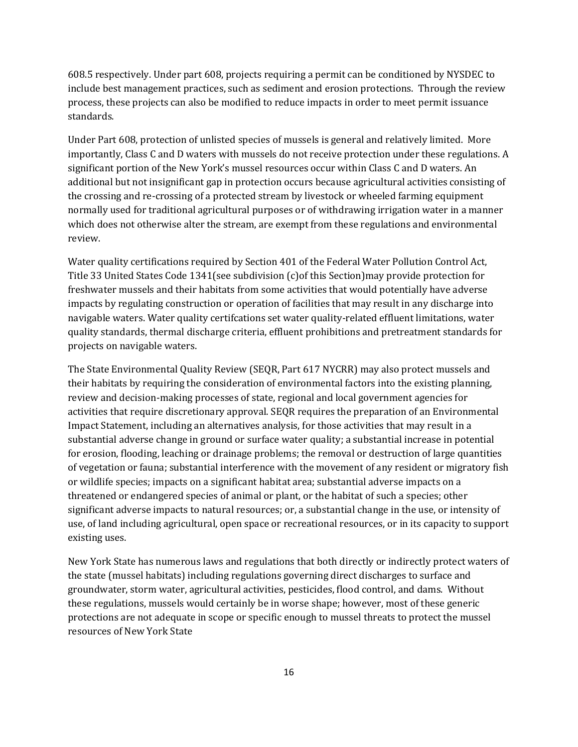608.5 respectively. Under part 608, projects requiring a permit can be conditioned by NYSDEC to include best management practices, such as sediment and erosion protections. Through the review process, these projects can also be modified to reduce impacts in order to meet permit issuance standards.

Under Part 608, protection of unlisted species of mussels is general and relatively limited. More importantly, Class C and D waters with mussels do not receive protection under these regulations. A significant portion of the New York's mussel resources occur within Class C and D waters. An additional but not insignificant gap in protection occurs because agricultural activities consisting of the crossing and re-crossing of a protected stream by livestock or wheeled farming equipment normally used for traditional agricultural purposes or of withdrawing irrigation water in a manner which does not otherwise alter the stream, are exempt from these regulations and environmental review.

Water quality certifications required by Section 401 of the Federal Water Pollution Control Act, Title 33 United States Code 1341(see subdivision (c)of this Section)may provide protection for freshwater mussels and their habitats from some activities that would potentially have adverse impacts by regulating construction or operation of facilities that may result in any discharge into navigable waters. Water quality certifcations set water quality-related effluent limitations, water quality standards, thermal discharge criteria, effluent prohibitions and pretreatment standards for projects on navigable waters.

The State Environmental Quality Review (SEQR, Part 617 NYCRR) may also protect mussels and their habitats by requiring the consideration of environmental factors into the existing planning, review and decision-making processes of state, regional and local government agencies for activities that require discretionary approval. SEQR requires the preparation of an Environmental Impact Statement, including an alternatives analysis, for those activities that may result in a substantial adverse change in ground or surface water quality; a substantial increase in potential for erosion, flooding, leaching or drainage problems; the removal or destruction of large quantities of vegetation or fauna; substantial interference with the movement of any resident or migratory fish or wildlife species; impacts on a significant habitat area; substantial adverse impacts on a threatened or endangered species of animal or plant, or the habitat of such a species; other significant adverse impacts to natural resources; or, a substantial change in the use, or intensity of use, of land including agricultural, open space or recreational resources, or in its capacity to support existing uses.

New York State has numerous laws and regulations that both directly or indirectly protect waters of the state (mussel habitats) including regulations governing direct discharges to surface and groundwater, storm water, agricultural activities, pesticides, flood control, and dams. Without these regulations, mussels would certainly be in worse shape; however, most of these generic protections are not adequate in scope or specific enough to mussel threats to protect the mussel resources of New York State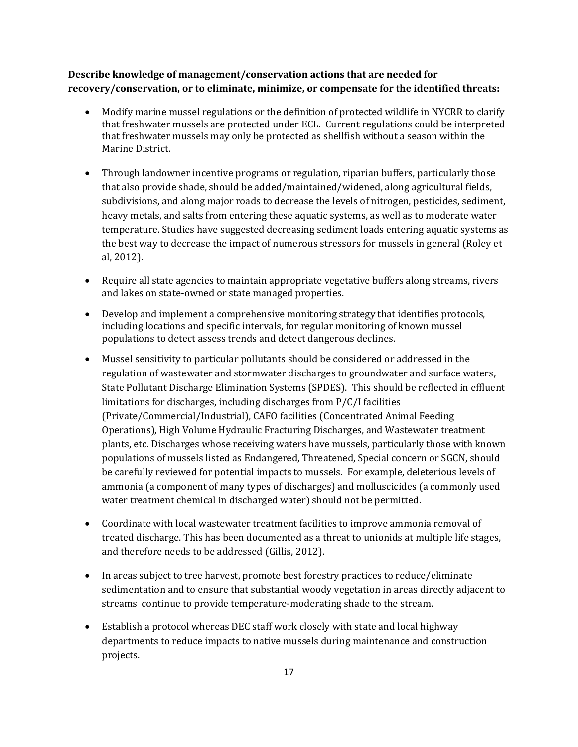**Describe knowledge of management/conservation actions that are needed for recovery/conservation, or to eliminate, minimize, or compensate for the identified threats:**

- Modify marine mussel regulations or the definition of protected wildlife in NYCRR to clarify that freshwater mussels are protected under ECL. Current regulations could be interpreted that freshwater mussels may only be protected as shellfish without a season within the Marine District.
- Through landowner incentive programs or regulation, riparian buffers, particularly those that also provide shade, should be added/maintained/widened, along agricultural fields, subdivisions, and along major roads to decrease the levels of nitrogen, pesticides, sediment, heavy metals, and salts from entering these aquatic systems, as well as to moderate water temperature. Studies have suggested decreasing sediment loads entering aquatic systems as the best way to decrease the impact of numerous stressors for mussels in general (Roley et al, 2012).
- Require all state agencies to maintain appropriate vegetative buffers along streams, rivers and lakes on state-owned or state managed properties.
- Develop and implement a comprehensive monitoring strategy that identifies protocols, including locations and specific intervals, for regular monitoring of known mussel populations to detect assess trends and detect dangerous declines.
- Mussel sensitivity to particular pollutants should be considered or addressed in the regulation of wastewater and stormwater discharges to groundwater and surface waters, State Pollutant Discharge Elimination Systems (SPDES). This should be reflected in effluent limitations for discharges, including discharges from P/C/I facilities (Private/Commercial/Industrial), CAFO facilities (Concentrated Animal Feeding Operations), High Volume Hydraulic Fracturing Discharges, and Wastewater treatment plants, etc. Discharges whose receiving waters have mussels, particularly those with known populations of mussels listed as Endangered, Threatened, Special concern or SGCN, should be carefully reviewed for potential impacts to mussels. For example, deleterious levels of ammonia (a component of many types of discharges) and molluscicides (a commonly used water treatment chemical in discharged water) should not be permitted.
- Coordinate with local wastewater treatment facilities to improve ammonia removal of treated discharge. This has been documented as a threat to unionids at multiple life stages, and therefore needs to be addressed (Gillis, 2012).
- In areas subject to tree harvest, promote best forestry practices to reduce/eliminate sedimentation and to ensure that substantial woody vegetation in areas directly adjacent to streams continue to provide temperature-moderating shade to the stream.
- Establish a protocol whereas DEC staff work closely with state and local highway departments to reduce impacts to native mussels during maintenance and construction projects.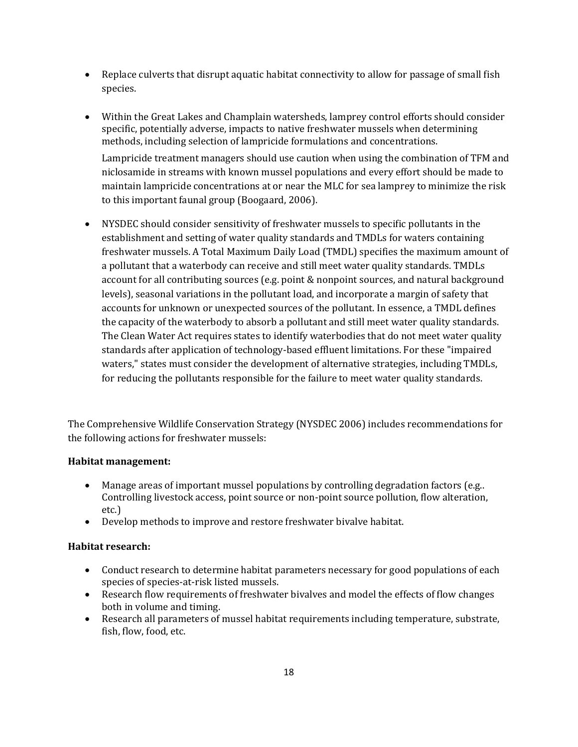- Replace culverts that disrupt aquatic habitat connectivity to allow for passage of small fish species.
- Within the Great Lakes and Champlain watersheds, lamprey control efforts should consider specific, potentially adverse, impacts to native freshwater mussels when determining methods, including selection of lampricide formulations and concentrations.

Lampricide treatment managers should use caution when using the combination of TFM and niclosamide in streams with known mussel populations and every effort should be made to maintain lampricide concentrations at or near the MLC for sea lamprey to minimize the risk to this important faunal group (Boogaard, 2006).

• NYSDEC should consider sensitivity of freshwater mussels to specific pollutants in the establishment and setting of water quality standards and TMDLs for waters containing freshwater mussels. A Total Maximum Daily Load (TMDL) specifies the maximum amount of a pollutant that a waterbody can receive and still meet water quality standards. TMDLs account for all contributing sources (e.g. point & nonpoint sources, and natural background levels), seasonal variations in the pollutant load, and incorporate a margin of safety that accounts for unknown or unexpected sources of the pollutant. In essence, a TMDL defines the capacity of the waterbody to absorb a pollutant and still meet water quality standards. The Clean Water Act requires states to identify waterbodies that do not meet water quality standards after application of technology-based effluent limitations. For these "impaired waters," states must consider the development of alternative strategies, including TMDLs, for reducing the pollutants responsible for the failure to meet water quality standards.

The Comprehensive Wildlife Conservation Strategy (NYSDEC 2006) includes recommendations for the following actions for freshwater mussels:

## **Habitat management:**

- Manage areas of important mussel populations by controlling degradation factors (e.g..) Controlling livestock access, point source or non-point source pollution, flow alteration, etc.)
- Develop methods to improve and restore freshwater bivalve habitat.

## **Habitat research:**

- Conduct research to determine habitat parameters necessary for good populations of each species of species-at-risk listed mussels.
- Research flow requirements of freshwater bivalves and model the effects of flow changes both in volume and timing.
- Research all parameters of mussel habitat requirements including temperature, substrate, fish, flow, food, etc.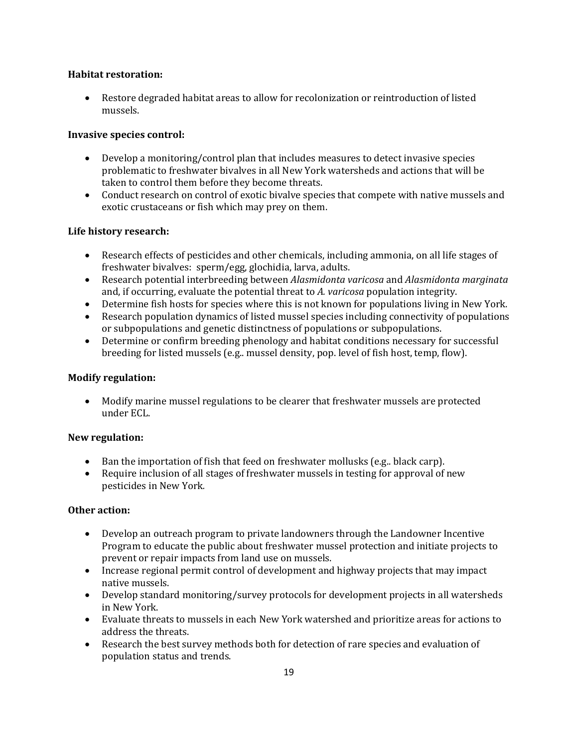## **Habitat restoration:**

• Restore degraded habitat areas to allow for recolonization or reintroduction of listed mussels.

## **Invasive species control:**

- Develop a monitoring/control plan that includes measures to detect invasive species problematic to freshwater bivalves in all New York watersheds and actions that will be taken to control them before they become threats.
- Conduct research on control of exotic bivalve species that compete with native mussels and exotic crustaceans or fish which may prey on them.

## **Life history research:**

- Research effects of pesticides and other chemicals, including ammonia, on all life stages of freshwater bivalves: sperm/egg, glochidia, larva, adults.
- Research potential interbreeding between *Alasmidonta varicosa* and *Alasmidonta marginata* and, if occurring, evaluate the potential threat to *A. varicosa* population integrity.
- Determine fish hosts for species where this is not known for populations living in New York.
- Research population dynamics of listed mussel species including connectivity of populations or subpopulations and genetic distinctness of populations or subpopulations.
- Determine or confirm breeding phenology and habitat conditions necessary for successful breeding for listed mussels (e.g.. mussel density, pop. level of fish host, temp, flow).

## **Modify regulation:**

• Modify marine mussel regulations to be clearer that freshwater mussels are protected under ECL.

## **New regulation:**

- Ban the importation of fish that feed on freshwater mollusks (e.g.. black carp).
- Require inclusion of all stages of freshwater mussels in testing for approval of new pesticides in New York*.*

## **Other action:**

- Develop an outreach program to private landowners through the Landowner Incentive Program to educate the public about freshwater mussel protection and initiate projects to prevent or repair impacts from land use on mussels.
- Increase regional permit control of development and highway projects that may impact native mussels.
- Develop standard monitoring/survey protocols for development projects in all watersheds in New York.
- Evaluate threats to mussels in each New York watershed and prioritize areas for actions to address the threats.
- Research the best survey methods both for detection of rare species and evaluation of population status and trends.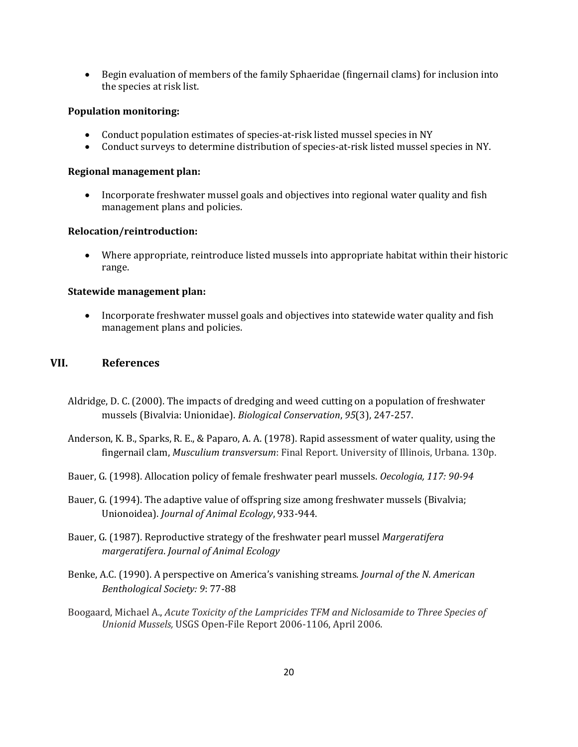• Begin evaluation of members of the family Sphaeridae (fingernail clams) for inclusion into the species at risk list.

## **Population monitoring:**

- Conduct population estimates of species-at-risk listed mussel species in NY
- Conduct surveys to determine distribution of species-at-risk listed mussel species in NY.

## **Regional management plan:**

• Incorporate freshwater mussel goals and objectives into regional water quality and fish management plans and policies.

## **Relocation/reintroduction:**

• Where appropriate, reintroduce listed mussels into appropriate habitat within their historic range.

## **Statewide management plan:**

• Incorporate freshwater mussel goals and objectives into statewide water quality and fish management plans and policies.

## **VII. References**

- Aldridge, D. C. (2000). The impacts of dredging and weed cutting on a population of freshwater mussels (Bivalvia: Unionidae). *Biological Conservation*, *95*(3), 247-257.
- Anderson, K. B., Sparks, R. E., & Paparo, A. A. (1978). Rapid assessment of water quality, using the fingernail clam, *Musculium transversum*: Final Report. University of Illinois, Urbana. 130p.
- Bauer, G. (1998). Allocation policy of female freshwater pearl mussels. *Oecologia, 117: 90-94*
- Bauer, G. (1994). The adaptive value of offspring size among freshwater mussels (Bivalvia; Unionoidea). *Journal of Animal Ecology*, 933-944.
- Bauer, G. (1987). Reproductive strategy of the freshwater pearl mussel *Margeratifera margeratifera*. *Journal of Animal Ecology*
- Benke, A.C. (1990). A perspective on America's vanishing streams. *Journal of the N. American Benthological Society: 9*: 77-88
- Boogaard, Michael A., *Acute Toxicity of the Lampricides TFM and Niclosamide to Three Species of Unionid Mussels,* USGS Open-File Report 2006-1106, April 2006.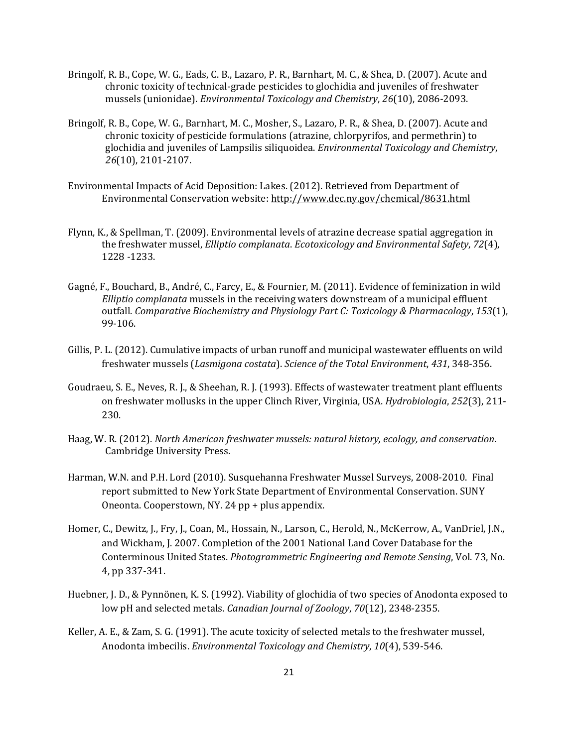- Bringolf, R. B., Cope, W. G., Eads, C. B., Lazaro, P. R., Barnhart, M. C., & Shea, D. (2007). Acute and chronic toxicity of technical‐grade pesticides to glochidia and juveniles of freshwater mussels (unionidae). *Environmental Toxicology and Chemistry*, *26*(10), 2086-2093.
- Bringolf, R. B., Cope, W. G., Barnhart, M. C., Mosher, S., Lazaro, P. R., & Shea, D. (2007). Acute and chronic toxicity of pesticide formulations (atrazine, chlorpyrifos, and permethrin) to glochidia and juveniles of Lampsilis siliquoidea. *Environmental Toxicology and Chemistry*, *26*(10), 2101-2107.
- Environmental Impacts of Acid Deposition: Lakes. (2012). Retrieved from Department of Environmental Conservation website: <http://www.dec.ny.gov/chemical/8631.html>
- Flynn, K., & Spellman, T. (2009). Environmental levels of atrazine decrease spatial aggregation in the freshwater mussel, *Elliptio complanata*. *Ecotoxicology and Environmental Safety*, *72*(4), 1228 -1233.
- Gagné, F., Bouchard, B., André, C., Farcy, E., & Fournier, M. (2011). Evidence of feminization in wild *Elliptio complanata* mussels in the receiving waters downstream of a municipal effluent outfall. *Comparative Biochemistry and Physiology Part C: Toxicology & Pharmacology*, *153*(1), 99-106.
- Gillis, P. L. (2012). Cumulative impacts of urban runoff and municipal wastewater effluents on wild freshwater mussels (*Lasmigona costata*). *Science of the Total Environment*, *431*, 348-356.
- Goudraeu, S. E., Neves, R. J., & Sheehan, R. J. (1993). Effects of wastewater treatment plant effluents on freshwater mollusks in the upper Clinch River, Virginia, USA. *Hydrobiologia*, *252*(3), 211- 230.
- Haag, W. R. (2012). *North American freshwater mussels: natural history, ecology, and conservation*. Cambridge University Press.
- Harman, W.N. and P.H. Lord (2010). Susquehanna Freshwater Mussel Surveys, 2008-2010. Final report submitted to New York State Department of Environmental Conservation. SUNY Oneonta. Cooperstown, NY. 24 pp + plus appendix.
- Homer, C., Dewitz, J., Fry, J., Coan, M., Hossain, N., Larson, C., Herold, N., McKerrow, A., VanDriel, J.N., and Wickham, J. 2007. Completion of the 2001 National Land Cover Database for the Conterminous United States. *Photogrammetric Engineering and Remote Sensing*, Vol. 73, No. 4, pp 337-341.
- Huebner, J. D., & Pynnönen, K. S. (1992). Viability of glochidia of two species of Anodonta exposed to low pH and selected metals. *Canadian Journal of Zoology*, *70*(12), 2348-2355.
- Keller, A. E., & Zam, S. G. (1991). The acute toxicity of selected metals to the freshwater mussel, Anodonta imbecilis. *Environmental Toxicology and Chemistry*, *10*(4), 539-546.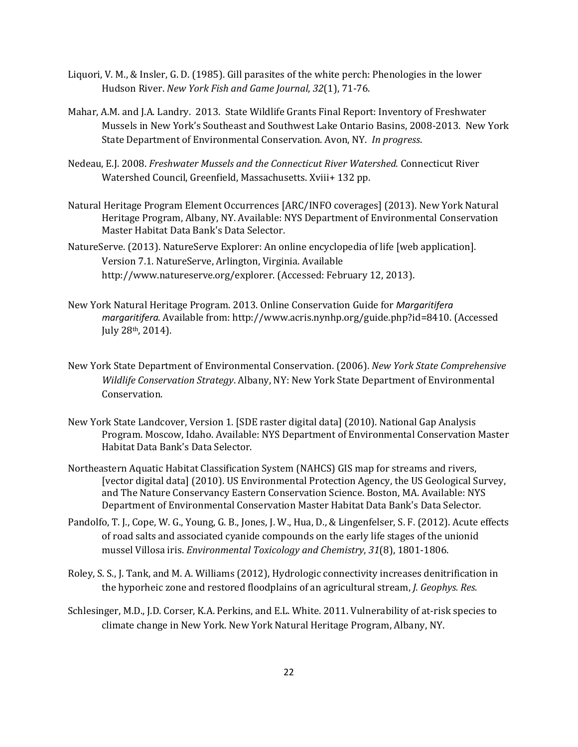- Liquori, V. M., & Insler, G. D. (1985). Gill parasites of the white perch: Phenologies in the lower Hudson River. *New York Fish and Game Journal*, *32*(1), 71-76.
- Mahar, A.M. and J.A. Landry. 2013. State Wildlife Grants Final Report: Inventory of Freshwater Mussels in New York's Southeast and Southwest Lake Ontario Basins, 2008-2013. New York State Department of Environmental Conservation. Avon, NY. *In progress*.
- Nedeau, E.J. 2008. *Freshwater Mussels and the Connecticut River Watershed.* Connecticut River Watershed Council, Greenfield, Massachusetts. Xviii+ 132 pp.
- Natural Heritage Program Element Occurrences [ARC/INFO coverages] (2013). New York Natural Heritage Program, Albany, NY. Available: NYS Department of Environmental Conservation Master Habitat Data Bank's Data Selector.
- NatureServe. (2013). NatureServe Explorer: An online encyclopedia of life [web application]. Version 7.1. NatureServe, Arlington, Virginia. Available http://www.natureserve.org/explorer. (Accessed: February 12, 2013).
- New York Natural Heritage Program. 2013. Online Conservation Guide for *Margaritifera margaritifera*. Available from: http://www.acris.nynhp.org/guide.php?id=8410. (Accessed July 28th, 2014).
- New York State Department of Environmental Conservation. (2006). *New York State Comprehensive Wildlife Conservation Strategy*. Albany, NY: New York State Department of Environmental Conservation.
- New York State Landcover, Version 1. [SDE raster digital data] (2010). National Gap Analysis Program. Moscow, Idaho. Available: NYS Department of Environmental Conservation Master Habitat Data Bank's Data Selector.
- Northeastern Aquatic Habitat Classification System (NAHCS) GIS map for streams and rivers, [vector digital data] (2010). US Environmental Protection Agency, the US Geological Survey, and The Nature Conservancy Eastern Conservation Science. Boston, MA. Available: NYS Department of Environmental Conservation Master Habitat Data Bank's Data Selector.
- Pandolfo, T. J., Cope, W. G., Young, G. B., Jones, J. W., Hua, D., & Lingenfelser, S. F. (2012). Acute effects of road salts and associated cyanide compounds on the early life stages of the unionid mussel Villosa iris. *Environmental Toxicology and Chemistry*, *31*(8), 1801-1806.
- Roley, S. S., J. Tank, and M. A. Williams (2012), Hydrologic connectivity increases denitrification in the hyporheic zone and restored floodplains of an agricultural stream, *J. Geophys. Res.*
- Schlesinger, M.D., J.D. Corser, K.A. Perkins, and E.L. White. 2011. Vulnerability of at-risk species to climate change in New York. New York Natural Heritage Program, Albany, NY.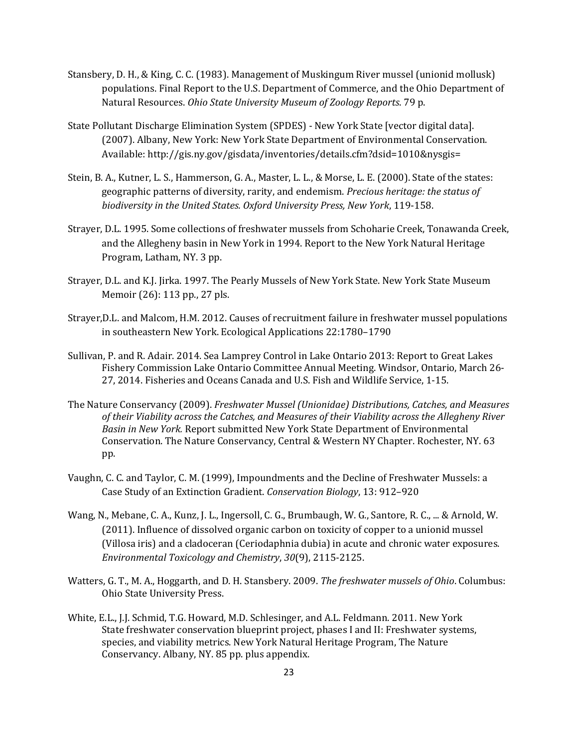- Stansbery, D. H., & King, C. C. (1983). Management of Muskingum River mussel (unionid mollusk) populations. Final Report to the U.S. Department of Commerce, and the Ohio Department of Natural Resources. *Ohio State University Museum of Zoology Reports*. 79 p.
- State Pollutant Discharge Elimination System (SPDES) New York State [vector digital data]. (2007). Albany, New York: New York State Department of Environmental Conservation. Available: http://gis.ny.gov/gisdata/inventories/details.cfm?dsid=1010&nysgis=
- Stein, B. A., Kutner, L. S., Hammerson, G. A., Master, L. L., & Morse, L. E. (2000). State of the states: geographic patterns of diversity, rarity, and endemism. *Precious heritage: the status of biodiversity in the United States. Oxford University Press, New York*, 119-158.
- Strayer, D.L. 1995. Some collections of freshwater mussels from Schoharie Creek, Tonawanda Creek, and the Allegheny basin in New York in 1994. Report to the New York Natural Heritage Program, Latham, NY. 3 pp.
- Strayer, D.L. and K.J. Jirka. 1997. The Pearly Mussels of New York State. New York State Museum Memoir (26): 113 pp., 27 pls.
- Strayer,D.L. and Malcom, H.M. 2012. Causes of recruitment failure in freshwater mussel populations in southeastern New York. Ecological Applications 22:1780–1790
- Sullivan, P. and R. Adair. 2014. Sea Lamprey Control in Lake Ontario 2013: Report to Great Lakes Fishery Commission Lake Ontario Committee Annual Meeting. Windsor, Ontario, March 26- 27, 2014. Fisheries and Oceans Canada and U.S. Fish and Wildlife Service, 1-15.
- The Nature Conservancy (2009). *Freshwater Mussel (Unionidae) Distributions, Catches, and Measures of their Viability across the Catches, and Measures of their Viability across the Allegheny River Basin in New York.* Report submitted New York State Department of Environmental Conservation. The Nature Conservancy, Central & Western NY Chapter. Rochester, NY. 63 pp.
- Vaughn, C. C. and Taylor, C. M. (1999), Impoundments and the Decline of Freshwater Mussels: a Case Study of an Extinction Gradient. *Conservation Biology*, 13: 912–920
- Wang, N., Mebane, C. A., Kunz, J. L., Ingersoll, C. G., Brumbaugh, W. G., Santore, R. C., ... & Arnold, W. (2011). Influence of dissolved organic carbon on toxicity of copper to a unionid mussel (Villosa iris) and a cladoceran (Ceriodaphnia dubia) in acute and chronic water exposures. *Environmental Toxicology and Chemistry*, *30*(9), 2115-2125.
- Watters, G. T., M. A., Hoggarth, and D. H. Stansbery. 2009. *The freshwater mussels of Ohio*. Columbus: Ohio State University Press.
- White, E.L., J.J. Schmid, T.G. Howard, M.D. Schlesinger, and A.L. Feldmann. 2011. New York State freshwater conservation blueprint project, phases I and II: Freshwater systems, species, and viability metrics. New York Natural Heritage Program, The Nature Conservancy. Albany, NY. 85 pp. plus appendix.